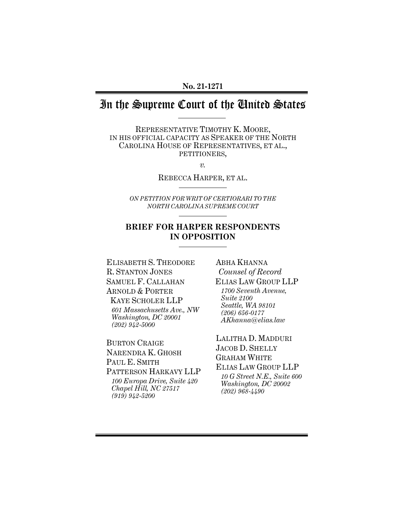#### **No. 21-1271**

# In the Supreme Court of the United States

REPRESENTATIVE TIMOTHY K. MOORE, IN HIS OFFICIAL CAPACITY AS SPEAKER OF THE NORTH CAROLINA HOUSE OF REPRESENTATIVES, ET AL., PETITIONERS,

*v.* 

REBECCA HARPER, ET AL.

*ON PETITION FOR WRIT OF CERTIORARI TO THE NORTH CAROLINA SUPREME COURT* 

## **BRIEF FOR HARPER RESPONDENTS IN OPPOSITION**

ELISABETH S. THEODORE R. STANTON JONES SAMUEL F. CALLAHAN ARNOLD & PORTER KAYE SCHOLER LLP *601 Massachusetts Ave., NW Washington, DC 20001 (202) 942-5000* 

BURTON CRAIGE NARENDRA K. GHOSH PAUL E. SMITH PATTERSON HARKAVY LLP *100 Europa Drive, Suite 420 Chapel Hill, NC 27517 (919) 942-5200*

ABHA KHANNA *Counsel of Record* ELIAS LAW GROUP LLP *1700 Seventh Avenue, Suite 2100 Seattle, WA 98101 (206) 656-0177 AKhanna@elias.law* 

LALITHA D. MADDURI JACOB D. SHELLY GRAHAM WHITE ELIAS LAW GROUP LLP *10 G Street N.E., Suite 600 Washington, DC 20002 (202) 968-4490*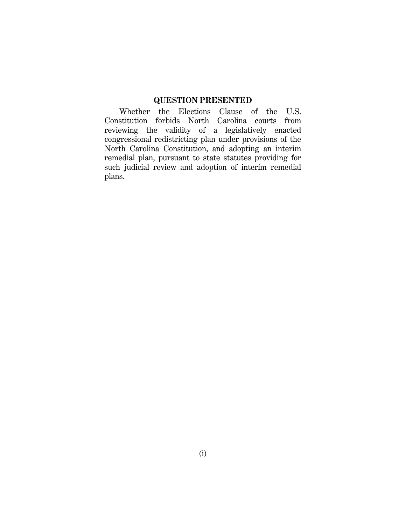## **QUESTION PRESENTED**

Whether the Elections Clause of the U.S. Constitution forbids North Carolina courts from reviewing the validity of a legislatively enacted congressional redistricting plan under provisions of the North Carolina Constitution, and adopting an interim remedial plan, pursuant to state statutes providing for such judicial review and adoption of interim remedial plans.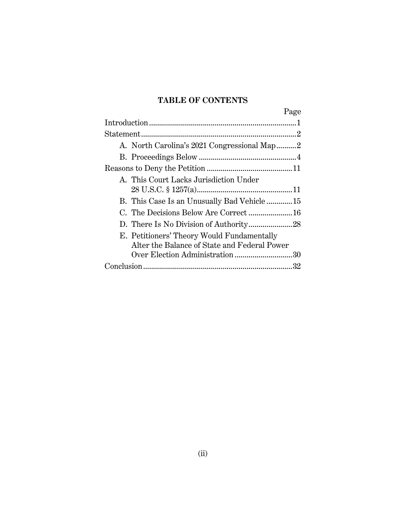## **TABLE OF CONTENTS**

| Page                                         |
|----------------------------------------------|
|                                              |
|                                              |
| A. North Carolina's 2021 Congressional Map2  |
|                                              |
|                                              |
| A. This Court Lacks Jurisdiction Under       |
|                                              |
| B. This Case Is an Unusually Bad Vehicle15   |
| C. The Decisions Below Are Correct  16       |
|                                              |
| E. Petitioners' Theory Would Fundamentally   |
| Alter the Balance of State and Federal Power |
| Over Election Administration30               |
|                                              |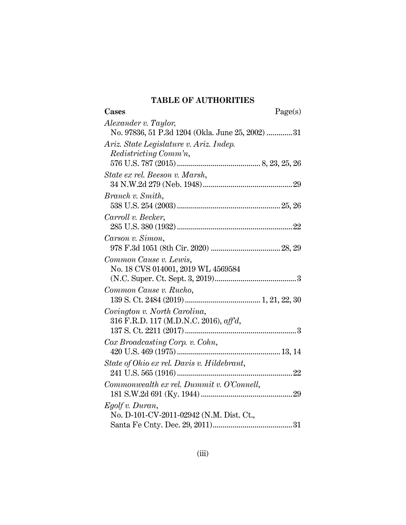## **TABLE OF AUTHORITIES**

| Cases                                            | Page(s) |
|--------------------------------------------------|---------|
| Alexander v. Taylor,                             |         |
| No. 97836, 51 P.3d 1204 (Okla. June 25, 2002) 31 |         |
| Ariz. State Legislature v. Ariz. Indep.          |         |
| Redistricting Comm'n,                            |         |
|                                                  |         |
| State ex rel. Beeson v. Marsh,                   |         |
|                                                  |         |
| Branch v. Smith,                                 |         |
|                                                  |         |
| Carroll v. Becker,                               |         |
|                                                  |         |
| Carson v. Simon,                                 |         |
|                                                  |         |
| Common Cause v. Lewis,                           |         |
| No. 18 CVS 014001, 2019 WL 4569584               |         |
|                                                  |         |
| Common Cause v. Rucho,                           |         |
|                                                  |         |
| Covington v. North Carolina,                     |         |
| 316 F.R.D. 117 (M.D.N.C. 2016), aff'd,           |         |
|                                                  |         |
| Cox Broadcasting Corp. v. Cohn,                  |         |
|                                                  |         |
| State of Ohio ex rel. Davis v. Hildebrant,       |         |
|                                                  |         |
| Commonwealth ex rel. Dummit v. O'Connell,        |         |
|                                                  |         |
| Egolf v. Duran,                                  |         |
| No. D-101-CV-2011-02942 (N.M. Dist. Ct.,         |         |
|                                                  |         |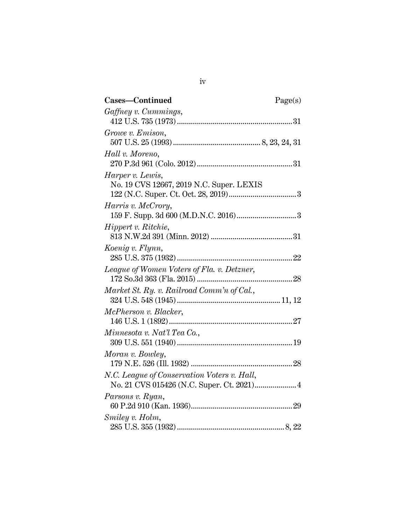| Cases-Continued                             | Page(s) |
|---------------------------------------------|---------|
| Gaffney v. Cummings,                        |         |
|                                             |         |
| Growe v. Emison,                            |         |
|                                             |         |
| Hall v. Moreno,                             |         |
|                                             |         |
| Harper v. Lewis,                            |         |
| No. 19 CVS 12667, 2019 N.C. Super. LEXIS    |         |
|                                             |         |
| Harris v. McCrory,                          |         |
|                                             |         |
| Hippert v. Ritchie,                         |         |
|                                             |         |
| Koenig v. Flynn,                            |         |
|                                             |         |
| League of Women Voters of Fla. v. Detzner,  |         |
|                                             |         |
| Market St. Ry. v. Railroad Comm'n of Cal.,  |         |
|                                             |         |
| McPherson v. Blacker,                       |         |
|                                             |         |
| Minnesota v. Nat'l Tea Co.,                 |         |
|                                             |         |
| Moran v. Bowley,                            |         |
|                                             |         |
| N.C. League of Conservation Voters v. Hall, |         |
|                                             |         |
| Parsons v. Ryan,                            |         |
|                                             |         |
| Smiley v. Holm,                             |         |
|                                             |         |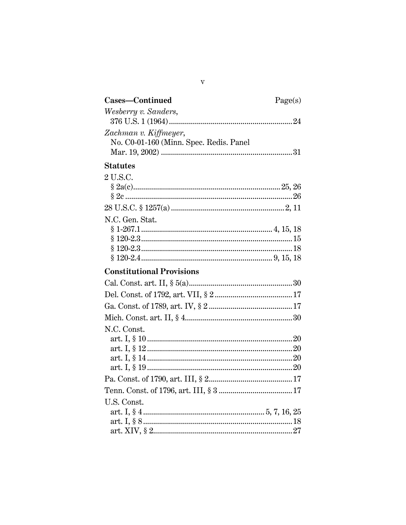| Cases-Continued                         | Page(s) |
|-----------------------------------------|---------|
| Wesberry v. Sanders,                    |         |
|                                         |         |
| Zachman v. Kiffmeyer,                   |         |
| No. C0-01-160 (Minn. Spec. Redis. Panel |         |
|                                         |         |
| <b>Statutes</b>                         |         |
| 2 U.S.C.                                |         |
|                                         |         |
|                                         |         |
|                                         |         |
| N.C. Gen. Stat.                         |         |
|                                         |         |
|                                         |         |
|                                         |         |
|                                         |         |
| <b>Constitutional Provisions</b>        |         |
|                                         |         |
|                                         |         |
|                                         |         |
|                                         |         |
| N.C. Const.                             |         |
|                                         |         |
|                                         |         |
|                                         |         |
|                                         |         |
|                                         |         |
|                                         |         |
| U.S. Const.                             |         |
|                                         |         |
|                                         |         |
|                                         |         |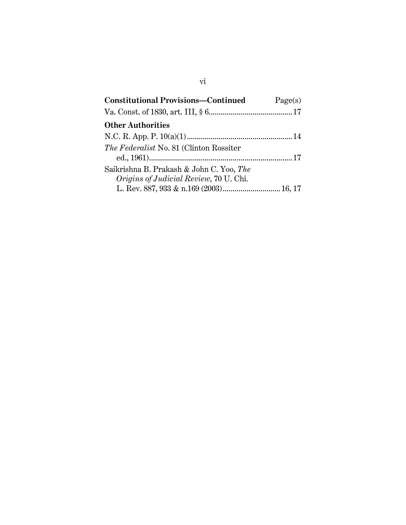| <b>Constitutional Provisions-Continued</b>                                                | Page(s) |
|-------------------------------------------------------------------------------------------|---------|
|                                                                                           |         |
| <b>Other Authorities</b>                                                                  |         |
|                                                                                           |         |
| <i>The Federalist</i> No. 81 (Clinton Rossiter)                                           |         |
| Saikrishna B. Prakash & John C. Yoo, The<br><i>Origins of Judicial Review, 70 U. Chi.</i> |         |
| L. Rev. 887, 933 & n.169 (2003) 16, 17                                                    |         |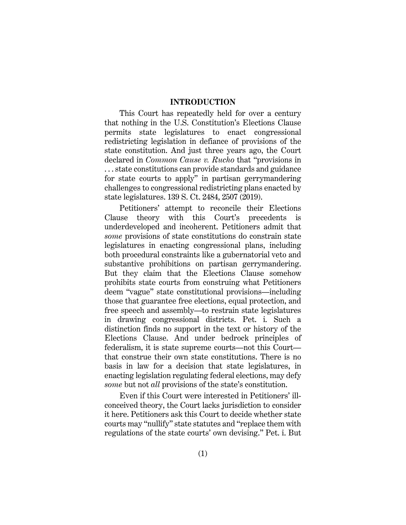#### <span id="page-7-0"></span>**INTRODUCTION**

This Court has repeatedly held for over a century that nothing in the U.S. Constitution's Elections Clause permits state legislatures to enact congressional redistricting legislation in defiance of provisions of the state constitution. And just three years ago, the Court declared in *Common Cause v. Rucho* that "provisions in . . . state constitutions can provide standards and guidance for state courts to apply" in partisan gerrymandering challenges to congressional redistricting plans enacted by state legislatures. 139 S. Ct. 2484, 2507 (2019).

Petitioners' attempt to reconcile their Elections Clause theory with this Court's precedents is underdeveloped and incoherent. Petitioners admit that *some* provisions of state constitutions do constrain state legislatures in enacting congressional plans, including both procedural constraints like a gubernatorial veto and substantive prohibitions on partisan gerrymandering. But they claim that the Elections Clause somehow prohibits state courts from construing what Petitioners deem "vague" state constitutional provisions—including those that guarantee free elections, equal protection, and free speech and assembly—to restrain state legislatures in drawing congressional districts. Pet. i. Such a distinction finds no support in the text or history of the Elections Clause. And under bedrock principles of federalism, it is state supreme courts—not this Court that construe their own state constitutions. There is no basis in law for a decision that state legislatures, in enacting legislation regulating federal elections, may defy *some* but not *all* provisions of the state's constitution.

Even if this Court were interested in Petitioners' illconceived theory, the Court lacks jurisdiction to consider it here. Petitioners ask this Court to decide whether state courts may "nullify" state statutes and "replace them with regulations of the state courts' own devising." Pet. i. But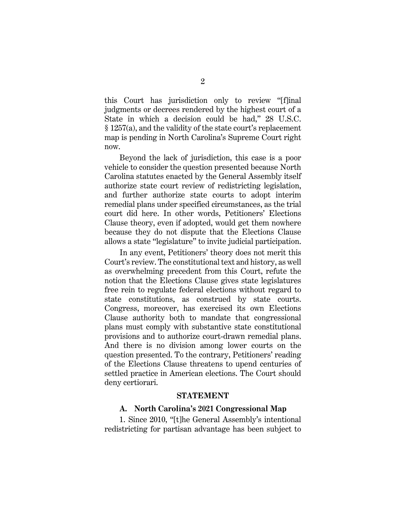<span id="page-8-0"></span>this Court has jurisdiction only to review "[f]inal judgments or decrees rendered by the highest court of a State in which a decision could be had," 28 U.S.C. § 1257(a), and the validity of the state court's replacement map is pending in North Carolina's Supreme Court right now.

Beyond the lack of jurisdiction, this case is a poor vehicle to consider the question presented because North Carolina statutes enacted by the General Assembly itself authorize state court review of redistricting legislation, and further authorize state courts to adopt interim remedial plans under specified circumstances, as the trial court did here. In other words, Petitioners' Elections Clause theory, even if adopted, would get them nowhere because they do not dispute that the Elections Clause allows a state "legislature" to invite judicial participation.

In any event, Petitioners' theory does not merit this Court's review. The constitutional text and history, as well as overwhelming precedent from this Court, refute the notion that the Elections Clause gives state legislatures free rein to regulate federal elections without regard to state constitutions, as construed by state courts. Congress, moreover, has exercised its own Elections Clause authority both to mandate that congressional plans must comply with substantive state constitutional provisions and to authorize court-drawn remedial plans. And there is no division among lower courts on the question presented. To the contrary, Petitioners' reading of the Elections Clause threatens to upend centuries of settled practice in American elections. The Court should deny certiorari.

#### **STATEMENT**

#### **A. North Carolina's 2021 Congressional Map**

1. Since 2010, "[t]he General Assembly's intentional redistricting for partisan advantage has been subject to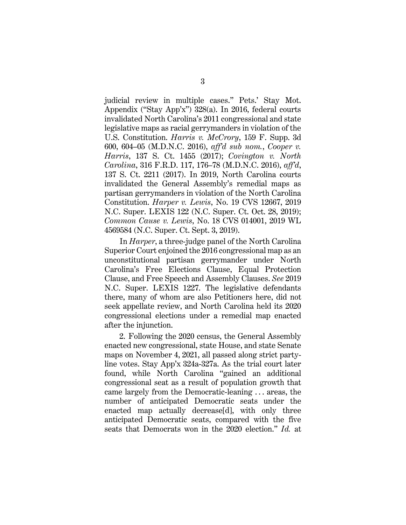<span id="page-9-3"></span><span id="page-9-1"></span>judicial review in multiple cases." Pets.' Stay Mot. Appendix ("Stay App'x") 328(a). In 2016, federal courts invalidated North Carolina's 2011 congressional and state legislative maps as racial gerrymanders in violation of the U.S. Constitution. *Harris v. McCrory*, 159 F. Supp. 3d 600, 604–05 (M.D.N.C. 2016), *aff'd sub nom.*, *Cooper v. Harris*, 137 S. Ct. 1455 (2017); *Covington v. North Carolina*, 316 F.R.D. 117, 176–78 (M.D.N.C. 2016), *aff'd*, 137 S. Ct. 2211 (2017). In 2019, North Carolina courts invalidated the General Assembly's remedial maps as partisan gerrymanders in violation of the North Carolina Constitution. *Harper v. Lewis*, No. 19 CVS 12667, 2019 N.C. Super. LEXIS 122 (N.C. Super. Ct. Oct. 28, 2019); *Common Cause v. Lewis*, No. 18 CVS 014001, 2019 WL 4569584 (N.C. Super. Ct. Sept. 3, 2019).

<span id="page-9-2"></span><span id="page-9-0"></span>In *Harper*, a three-judge panel of the North Carolina Superior Court enjoined the 2016 congressional map as an unconstitutional partisan gerrymander under North Carolina's Free Elections Clause, Equal Protection Clause, and Free Speech and Assembly Clauses. *See* 2019 N.C. Super. LEXIS 1227. The legislative defendants there, many of whom are also Petitioners here, did not seek appellate review, and North Carolina held its 2020 congressional elections under a remedial map enacted after the injunction.

2. Following the 2020 census, the General Assembly enacted new congressional, state House, and state Senate maps on November 4, 2021, all passed along strict partyline votes. Stay App'x 324a-327a. As the trial court later found, while North Carolina "gained an additional congressional seat as a result of population growth that came largely from the Democratic-leaning . . . areas, the number of anticipated Democratic seats under the enacted map actually decrease[d], with only three anticipated Democratic seats, compared with the five seats that Democrats won in the 2020 election." *Id.* at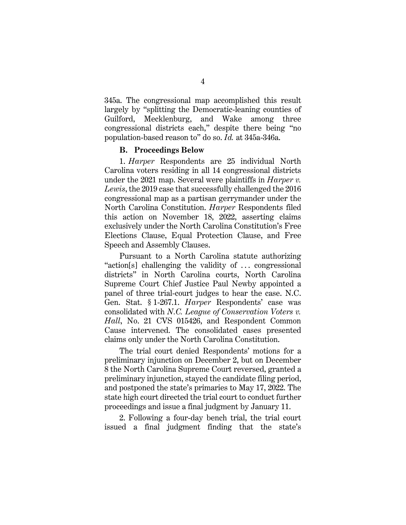345a. The congressional map accomplished this result largely by "splitting the Democratic-leaning counties of Guilford, Mecklenburg, and Wake among three congressional districts each," despite there being "no population-based reason to" do so. *Id.* at 345a-346a.

#### **B. Proceedings Below**

1. *Harper* Respondents are 25 individual North Carolina voters residing in all 14 congressional districts under the 2021 map. Several were plaintiffs in *Harper v. Lewis*, the 2019 case that successfully challenged the 2016 congressional map as a partisan gerrymander under the North Carolina Constitution. *Harper* Respondents filed this action on November 18, 2022, asserting claims exclusively under the North Carolina Constitution's Free Elections Clause, Equal Protection Clause, and Free Speech and Assembly Clauses.

Pursuant to a North Carolina statute authorizing "action[s] challenging the validity of ... congressional districts" in North Carolina courts, North Carolina Supreme Court Chief Justice Paul Newby appointed a panel of three trial-court judges to hear the case. N.C. Gen. Stat. § 1-267.1. *Harper* Respondents' case was consolidated with *N.C. League of Conservation Voters v. Hall*, No. 21 CVS 015426, and Respondent Common Cause intervened. The consolidated cases presented claims only under the North Carolina Constitution.

<span id="page-10-0"></span>The trial court denied Respondents' motions for a preliminary injunction on December 2, but on December 8 the North Carolina Supreme Court reversed, granted a preliminary injunction, stayed the candidate filing period, and postponed the state's primaries to May 17, 2022. The state high court directed the trial court to conduct further proceedings and issue a final judgment by January 11.

2. Following a four-day bench trial, the trial court issued a final judgment finding that the state's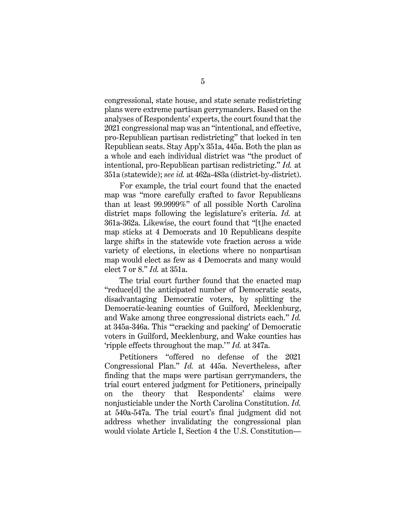congressional, state house, and state senate redistricting plans were extreme partisan gerrymanders. Based on the analyses of Respondents' experts, the court found that the 2021 congressional map was an "intentional, and effective, pro-Republican partisan redistricting" that locked in ten Republican seats. Stay App'x 351a, 445a. Both the plan as a whole and each individual district was "the product of intentional, pro-Republican partisan redistricting." *Id.* at 351a (statewide); *see id.* at 462a-483a (district-by-district).

For example, the trial court found that the enacted map was "more carefully crafted to favor Republicans than at least 99.9999%" of all possible North Carolina district maps following the legislature's criteria. *Id.* at 361a-362a. Likewise, the court found that "[t]he enacted map sticks at 4 Democrats and 10 Republicans despite large shifts in the statewide vote fraction across a wide variety of elections, in elections where no nonpartisan map would elect as few as 4 Democrats and many would elect 7 or 8." *Id.* at 351a.

The trial court further found that the enacted map "reduce[d] the anticipated number of Democratic seats, disadvantaging Democratic voters, by splitting the Democratic-leaning counties of Guilford, Mecklenburg, and Wake among three congressional districts each." *Id.* at 345a-346a. This "'cracking and packing' of Democratic voters in Guilford, Mecklenburg, and Wake counties has 'ripple effects throughout the map.'" *Id.* at 347a.

<span id="page-11-0"></span>Petitioners "offered no defense of the 2021 Congressional Plan." *Id.* at 445a. Nevertheless, after finding that the maps were partisan gerrymanders, the trial court entered judgment for Petitioners, principally on the theory that Respondents' claims were nonjusticiable under the North Carolina Constitution. *Id.* at 540a-547a. The trial court's final judgment did not address whether invalidating the congressional plan would violate Article I, Section 4 the U.S. Constitution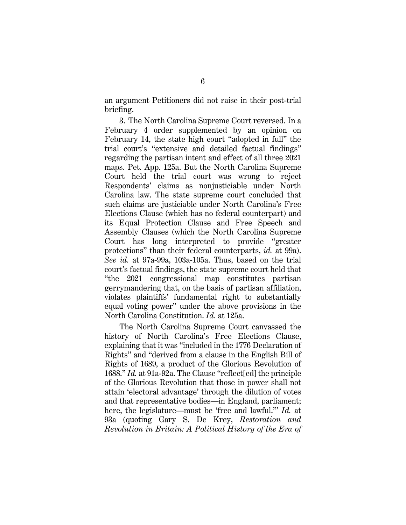an argument Petitioners did not raise in their post-trial briefing.

3. The North Carolina Supreme Court reversed. In a February 4 order supplemented by an opinion on February 14, the state high court "adopted in full" the trial court's "extensive and detailed factual findings" regarding the partisan intent and effect of all three 2021 maps. Pet. App. 125a. But the North Carolina Supreme Court held the trial court was wrong to reject Respondents' claims as nonjusticiable under North Carolina law. The state supreme court concluded that such claims are justiciable under North Carolina's Free Elections Clause (which has no federal counterpart) and its Equal Protection Clause and Free Speech and Assembly Clauses (which the North Carolina Supreme Court has long interpreted to provide "greater protections" than their federal counterparts, *id.* at 99a). *See id.* at 97a-99a, 103a-105a. Thus, based on the trial court's factual findings, the state supreme court held that "the 2021 congressional map constitutes partisan gerrymandering that, on the basis of partisan affiliation, violates plaintiffs' fundamental right to substantially equal voting power" under the above provisions in the North Carolina Constitution. *Id.* at 125a.

The North Carolina Supreme Court canvassed the history of North Carolina's Free Elections Clause, explaining that it was "included in the 1776 Declaration of Rights" and "derived from a clause in the English Bill of Rights of 1689, a product of the Glorious Revolution of 1688." *Id.* at 91a-92a. The Clause "reflect[ed] the principle of the Glorious Revolution that those in power shall not attain 'electoral advantage' through the dilution of votes and that representative bodies—in England, parliament; here, the legislature—must be 'free and lawful.'" *Id.* at 93a (quoting Gary S. De Krey, *Restoration and Revolution in Britain: A Political History of the Era of*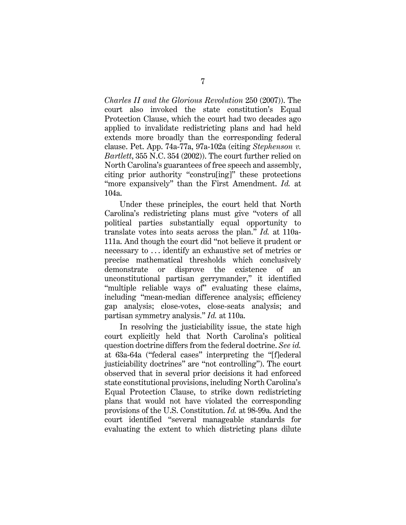*Charles II and the Glorious Revolution* 250 (2007)). The court also invoked the state constitution's Equal Protection Clause, which the court had two decades ago applied to invalidate redistricting plans and had held extends more broadly than the corresponding federal clause. Pet. App. 74a-77a, 97a-102a (citing *Stephenson v. Bartlett*, 355 N.C. 354 (2002)). The court further relied on North Carolina's guarantees of free speech and assembly, citing prior authority "constru[ing]" these protections "more expansively" than the First Amendment. *Id.* at 104a.

Under these principles, the court held that North Carolina's redistricting plans must give "voters of all political parties substantially equal opportunity to translate votes into seats across the plan." *Id.* at 110a-111a. And though the court did "not believe it prudent or necessary to . . . identify an exhaustive set of metrics or precise mathematical thresholds which conclusively demonstrate or disprove the existence of an unconstitutional partisan gerrymander," it identified "multiple reliable ways of" evaluating these claims, including "mean-median difference analysis; efficiency gap analysis; close-votes, close-seats analysis; and partisan symmetry analysis." *Id.* at 110a.

In resolving the justiciability issue, the state high court explicitly held that North Carolina's political question doctrine differs from the federal doctrine. *See id.* at 63a-64a ("federal cases" interpreting the "[f]ederal justiciability doctrines" are "not controlling"). The court observed that in several prior decisions it had enforced state constitutional provisions, including North Carolina's Equal Protection Clause, to strike down redistricting plans that would not have violated the corresponding provisions of the U.S. Constitution. *Id.* at 98-99a. And the court identified "several manageable standards for evaluating the extent to which districting plans dilute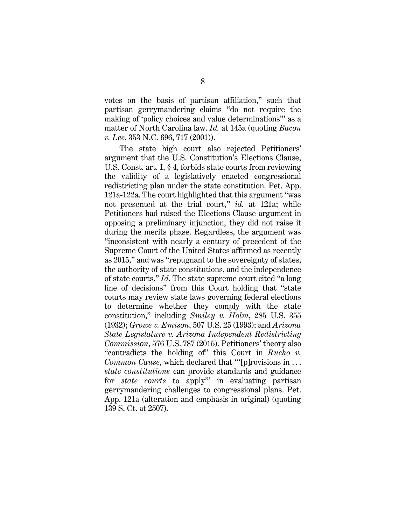votes on the basis of partisan affiliation," such that partisan gerrymandering claims "do not require the making of 'policy choices and value determinations'" as a matter of North Carolina law. *Id.* at 145a (quoting *Bacon v. Lee*, 353 N.C. 696, 717 (2001)).

<span id="page-14-3"></span><span id="page-14-2"></span><span id="page-14-1"></span><span id="page-14-0"></span>The state high court also rejected Petitioners' argument that the U.S. Constitution's Elections Clause, U.S. Const. art. I, § 4, forbids state courts from reviewing the validity of a legislatively enacted congressional redistricting plan under the state constitution. Pet. App. 121a-122a. The court highlighted that this argument "was not presented at the trial court," *id.* at 121a; while Petitioners had raised the Elections Clause argument in opposing a preliminary injunction, they did not raise it during the merits phase. Regardless, the argument was "inconsistent with nearly a century of precedent of the Supreme Court of the United States affirmed as recently as 2015," and was "repugnant to the sovereignty of states, the authority of state constitutions, and the independence of state courts." *Id*. The state supreme court cited "a long line of decisions" from this Court holding that "state courts may review state laws governing federal elections to determine whether they comply with the state constitution," including *Smiley v. Holm*, 285 U.S. 355 (1932); *Growe v. Emison*, 507 U.S. 25 (1993); and *Arizona State Legislature v. Arizona Independent Redistricting Commission*, 576 U.S. 787 (2015). Petitioners' theory also "contradicts the holding of" this Court in *Rucho v. Common Cause*, which declared that "'[p] rovisions in ... *state constitutions* can provide standards and guidance for *state courts* to apply'" in evaluating partisan gerrymandering challenges to congressional plans. Pet. App. 121a (alteration and emphasis in original) (quoting 139 S. Ct. at 2507).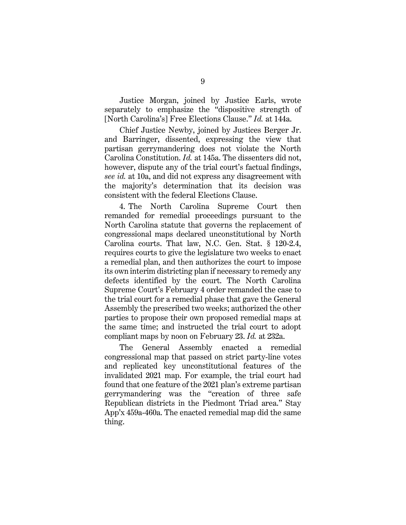Justice Morgan, joined by Justice Earls, wrote separately to emphasize the "dispositive strength of [North Carolina's] Free Elections Clause." *Id.* at 144a.

Chief Justice Newby, joined by Justices Berger Jr. and Barringer, dissented, expressing the view that partisan gerrymandering does not violate the North Carolina Constitution. *Id.* at 145a. The dissenters did not, however, dispute any of the trial court's factual findings, *see id.* at 10a, and did not express any disagreement with the majority's determination that its decision was consistent with the federal Elections Clause.

<span id="page-15-0"></span>4. The North Carolina Supreme Court then remanded for remedial proceedings pursuant to the North Carolina statute that governs the replacement of congressional maps declared unconstitutional by North Carolina courts. That law, N.C. Gen. Stat. § 120-2.4, requires courts to give the legislature two weeks to enact a remedial plan, and then authorizes the court to impose its own interim districting plan if necessary to remedy any defects identified by the court. The North Carolina Supreme Court's February 4 order remanded the case to the trial court for a remedial phase that gave the General Assembly the prescribed two weeks; authorized the other parties to propose their own proposed remedial maps at the same time; and instructed the trial court to adopt compliant maps by noon on February 23. *Id.* at 232a.

The General Assembly enacted a remedial congressional map that passed on strict party-line votes and replicated key unconstitutional features of the invalidated 2021 map. For example, the trial court had found that one feature of the 2021 plan's extreme partisan gerrymandering was the "creation of three safe Republican districts in the Piedmont Triad area." Stay App'x 459a-460a. The enacted remedial map did the same thing.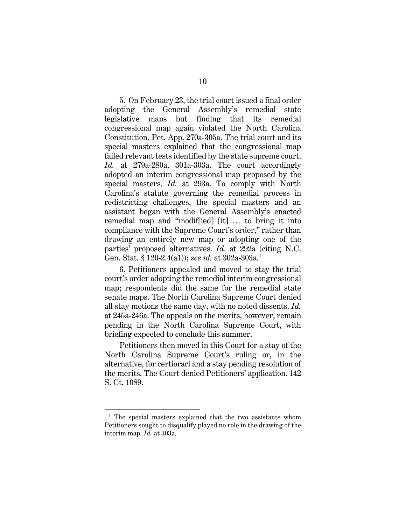5. On February 23, the trial court issued a final order adopting the General Assembly's remedial state legislative maps but finding that its remedial congressional map again violated the North Carolina Constitution. Pet. App. 270a-305a. The trial court and its special masters explained that the congressional map failed relevant tests identified by the state supreme court. *Id.* at 279a-280a, 301a-303a. The court accordingly adopted an interim congressional map proposed by the special masters. *Id.* at 293a. To comply with North Carolina's statute governing the remedial process in redistricting challenges, the special masters and an assistant began with the General Assembly's enacted remedial map and "modif[ied] [it] … to bring it into compliance with the Supreme Court's order," rather than drawing an entirely new map or adopting one of the parties' proposed alternatives. *Id.* at 292a (citing N.C. Gen. Stat. § 120-2.4(a1)); *see id.* at 302a-303a. [1](#page-16-0)

6. Petitioners appealed and moved to stay the trial court's order adopting the remedial interim congressional map; respondents did the same for the remedial state senate maps. The North Carolina Supreme Court denied all stay motions the same day, with no noted dissents. *Id.* at 245a-246a. The appeals on the merits, however, remain pending in the North Carolina Supreme Court, with briefing expected to conclude this summer.

Petitioners then moved in this Court for a stay of the North Carolina Supreme Court's ruling or, in the alternative, for certiorari and a stay pending resolution of the merits. The Court denied Petitioners' application. 142 S. Ct. 1089.

<span id="page-16-0"></span><sup>&</sup>lt;sup>1</sup> The special masters explained that the two assistants whom Petitioners sought to disqualify played no role in the drawing of the interim map. *Id.* at 303a.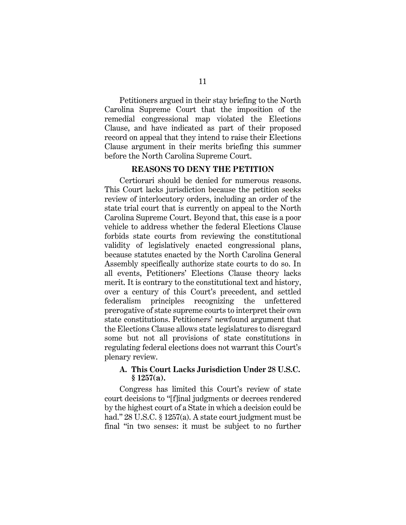Petitioners argued in their stay briefing to the North Carolina Supreme Court that the imposition of the remedial congressional map violated the Elections Clause, and have indicated as part of their proposed record on appeal that they intend to raise their Elections Clause argument in their merits briefing this summer before the North Carolina Supreme Court.

#### **REASONS TO DENY THE PETITION**

Certiorari should be denied for numerous reasons. This Court lacks jurisdiction because the petition seeks review of interlocutory orders, including an order of the state trial court that is currently on appeal to the North Carolina Supreme Court. Beyond that, this case is a poor vehicle to address whether the federal Elections Clause forbids state courts from reviewing the constitutional validity of legislatively enacted congressional plans, because statutes enacted by the North Carolina General Assembly specifically authorize state courts to do so. In all events, Petitioners' Elections Clause theory lacks merit. It is contrary to the constitutional text and history, over a century of this Court's precedent, and settled federalism principles recognizing the unfettered prerogative of state supreme courts to interpret their own state constitutions. Petitioners' newfound argument that the Elections Clause allows state legislatures to disregard some but not all provisions of state constitutions in regulating federal elections does not warrant this Court's plenary review.

## <span id="page-17-0"></span>**A. This Court Lacks Jurisdiction Under 28 U.S.C. § 1257(a).**

Congress has limited this Court's review of state court decisions to "[f]inal judgments or decrees rendered by the highest court of a State in which a decision could be had." 28 U.S.C. § 1257(a). A state court judgment must be final "in two senses: it must be subject to no further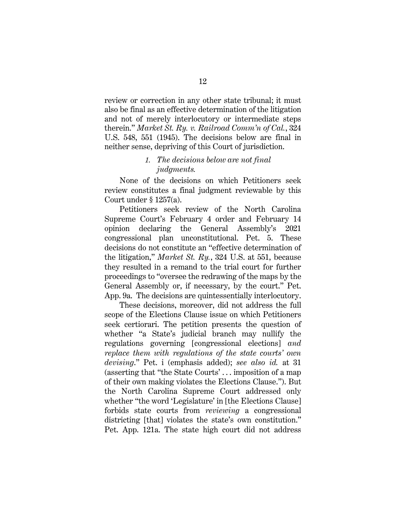review or correction in any other state tribunal; it must also be final as an effective determination of the litigation and not of merely interlocutory or intermediate steps therein." *Market St. Ry. v. Railroad Comm'n of Cal.*, 324 U.S. 548, 551 (1945). The decisions below are final in neither sense, depriving of this Court of jurisdiction.

## <span id="page-18-0"></span>*1. The decisions below are not final judgments.*

None of the decisions on which Petitioners seek review constitutes a final judgment reviewable by this Court under § 1257(a).

<span id="page-18-1"></span>Petitioners seek review of the North Carolina Supreme Court's February 4 order and February 14 opinion declaring the General Assembly's 2021 congressional plan unconstitutional. Pet. 5. These decisions do not constitute an "effective determination of the litigation," *Market St. Ry.*, 324 U.S. at 551, because they resulted in a remand to the trial court for further proceedings to "oversee the redrawing of the maps by the General Assembly or, if necessary, by the court." Pet. App. 9a. The decisions are quintessentially interlocutory.

These decisions, moreover, did not address the full scope of the Elections Clause issue on which Petitioners seek certiorari. The petition presents the question of whether "a State's judicial branch may nullify the regulations governing [congressional elections] *and replace them with regulations of the state courts' own devising*." Pet. i (emphasis added); *see also id.* at 31 (asserting that "the State Courts' . . . imposition of a map of their own making violates the Elections Clause."). But the North Carolina Supreme Court addressed only whether "the word 'Legislature' in [the Elections Clause] forbids state courts from *reviewing* a congressional districting [that] violates the state's own constitution." Pet. App. 121a. The state high court did not address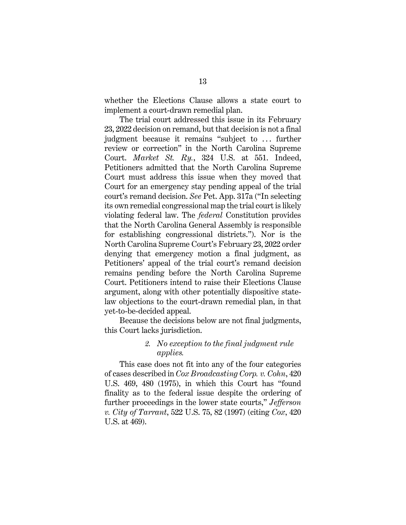whether the Elections Clause allows a state court to implement a court-drawn remedial plan.

The trial court addressed this issue in its February 23, 2022 decision on remand, but that decision is not a final judgment because it remains "subject to ... further review or correction" in the North Carolina Supreme Court. *Market St. Ry.*, 324 U.S. at 551. Indeed, Petitioners admitted that the North Carolina Supreme Court must address this issue when they moved that Court for an emergency stay pending appeal of the trial court's remand decision. *See* Pet. App. 317a ("In selecting its own remedial congressional map the trial court is likely violating federal law. The *federal* Constitution provides that the North Carolina General Assembly is responsible for establishing congressional districts."). Nor is the North Carolina Supreme Court's February 23, 2022 order denying that emergency motion a final judgment, as Petitioners' appeal of the trial court's remand decision remains pending before the North Carolina Supreme Court. Petitioners intend to raise their Elections Clause argument, along with other potentially dispositive statelaw objections to the court-drawn remedial plan, in that yet-to-be-decided appeal.

Because the decisions below are not final judgments, this Court lacks jurisdiction.

## <span id="page-19-0"></span>*2. No exception to the final judgment rule applies.*

This case does not fit into any of the four categories of cases described in *Cox Broadcasting Corp. v. Cohn*, 420 U.S. 469, 480 (1975), in which this Court has "found finality as to the federal issue despite the ordering of further proceedings in the lower state courts," *Jefferson v. City of Tarrant*, 522 U.S. 75, 82 (1997) (citing *Cox*, 420 U.S. at 469).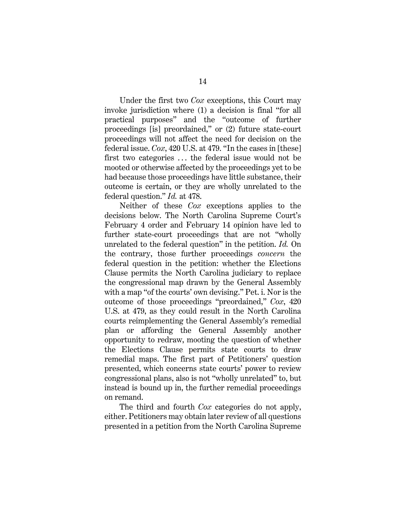Under the first two *Cox* exceptions, this Court may invoke jurisdiction where (1) a decision is final "for all practical purposes" and the "outcome of further proceedings [is] preordained," or (2) future state-court proceedings will not affect the need for decision on the federal issue. *Cox*, 420 U.S. at 479. "In the cases in [these] first two categories ... the federal issue would not be mooted or otherwise affected by the proceedings yet to be had because those proceedings have little substance, their outcome is certain, or they are wholly unrelated to the federal question." *Id.* at 478.

<span id="page-20-0"></span>Neither of these *Cox* exceptions applies to the decisions below. The North Carolina Supreme Court's February 4 order and February 14 opinion have led to further state-court proceedings that are not "wholly unrelated to the federal question" in the petition. *Id.* On the contrary, those further proceedings *concern* the federal question in the petition: whether the Elections Clause permits the North Carolina judiciary to replace the congressional map drawn by the General Assembly with a map "of the courts' own devising." Pet. i. Nor is the outcome of those proceedings "preordained," *Cox*, 420 U.S. at 479, as they could result in the North Carolina courts reimplementing the General Assembly's remedial plan or affording the General Assembly another opportunity to redraw, mooting the question of whether the Elections Clause permits state courts to draw remedial maps. The first part of Petitioners' question presented, which concerns state courts' power to review congressional plans, also is not "wholly unrelated" to, but instead is bound up in, the further remedial proceedings on remand.

The third and fourth *Cox* categories do not apply, either. Petitioners may obtain later review of all questions presented in a petition from the North Carolina Supreme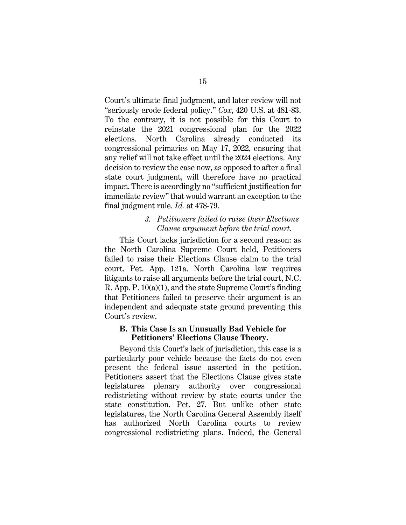Court's ultimate final judgment, and later review will not "seriously erode federal policy." *Cox*, 420 U.S. at 481-83. To the contrary, it is not possible for this Court to reinstate the 2021 congressional plan for the 2022 elections. North Carolina already conducted its congressional primaries on May 17, 2022, ensuring that any relief will not take effect until the 2024 elections. Any decision to review the case now, as opposed to after a final state court judgment, will therefore have no practical impact. There is accordingly no "sufficient justification for immediate review" that would warrant an exception to the final judgment rule. *Id.* at 478-79.

### <span id="page-21-0"></span>*3. Petitioners failed to raise their Elections Clause argument before the trial court.*

This Court lacks jurisdiction for a second reason: as the North Carolina Supreme Court held, Petitioners failed to raise their Elections Clause claim to the trial court. Pet. App. 121a. North Carolina law requires litigants to raise all arguments before the trial court, N.C. R. App. P. 10(a)(1), and the state Supreme Court's finding that Petitioners failed to preserve their argument is an independent and adequate state ground preventing this Court's review.

#### **B. This Case Is an Unusually Bad Vehicle for Petitioners' Elections Clause Theory.**

Beyond this Court's lack of jurisdiction, this case is a particularly poor vehicle because the facts do not even present the federal issue asserted in the petition. Petitioners assert that the Elections Clause gives state legislatures plenary authority over congressional redistricting without review by state courts under the state constitution. Pet. 27. But unlike other state legislatures, the North Carolina General Assembly itself has authorized North Carolina courts to review congressional redistricting plans. Indeed, the General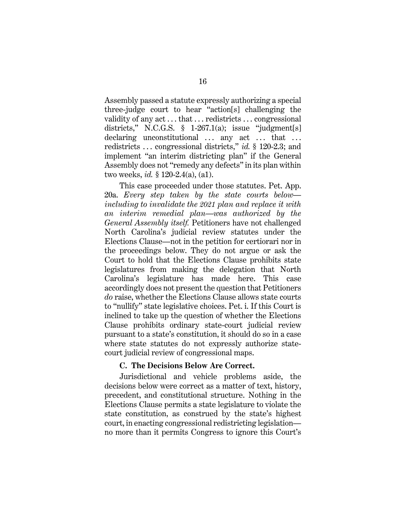<span id="page-22-0"></span>Assembly passed a statute expressly authorizing a special three-judge court to hear "action[s] challenging the validity of any act . . . that . . . redistricts . . . congressional districts," N.C.G.S.  $\S$  1-267.1(a); issue "judgment[s] declaring unconstitutional  $\ldots$  any act  $\ldots$  that  $\ldots$ redistricts . . . congressional districts," *id.* § 120-2.3; and implement "an interim districting plan" if the General Assembly does not "remedy any defects" in its plan within two weeks, *id.* § 120-2.4(a), (a1).

<span id="page-22-1"></span>This case proceeded under those statutes. Pet. App. 20a. *Every step taken by the state courts below including to invalidate the 2021 plan and replace it with an interim remedial plan—was authorized by the General Assembly itself.* Petitioners have not challenged North Carolina's judicial review statutes under the Elections Clause—not in the petition for certiorari nor in the proceedings below. They do not argue or ask the Court to hold that the Elections Clause prohibits state legislatures from making the delegation that North Carolina's legislature has made here. This case accordingly does not present the question that Petitioners *do* raise, whether the Elections Clause allows state courts to "nullify" state legislative choices. Pet. i. If this Court is inclined to take up the question of whether the Elections Clause prohibits ordinary state-court judicial review pursuant to a state's constitution, it should do so in a case where state statutes do not expressly authorize statecourt judicial review of congressional maps.

#### **C. The Decisions Below Are Correct.**

Jurisdictional and vehicle problems aside, the decisions below were correct as a matter of text, history, precedent, and constitutional structure. Nothing in the Elections Clause permits a state legislature to violate the state constitution, as construed by the state's highest court, in enacting congressional redistricting legislation no more than it permits Congress to ignore this Court's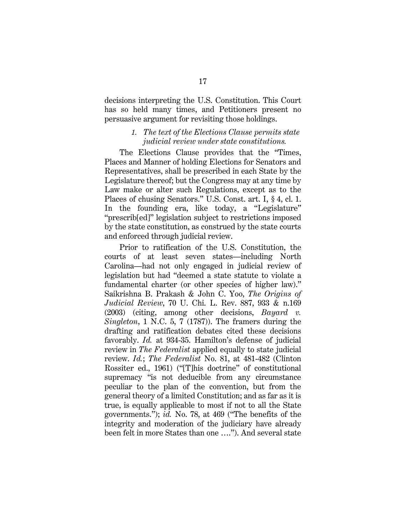decisions interpreting the U.S. Constitution. This Court has so held many times, and Petitioners present no persuasive argument for revisiting those holdings.

## *1. The text of the Elections Clause permits state judicial review under state constitutions.*

The Elections Clause provides that the "Times, Places and Manner of holding Elections for Senators and Representatives, shall be prescribed in each State by the Legislature thereof; but the Congress may at any time by Law make or alter such Regulations, except as to the Places of chusing Senators." U.S. Const. art. I, § 4, cl. 1. In the founding era, like today, a "Legislature" "prescrib[ed]" legislation subject to restrictions imposed by the state constitution, as construed by the state courts and enforced through judicial review.

<span id="page-23-2"></span><span id="page-23-1"></span><span id="page-23-0"></span>Prior to ratification of the U.S. Constitution, the courts of at least seven states—including North Carolina—had not only engaged in judicial review of legislation but had "deemed a state statute to violate a fundamental charter (or other species of higher law)." Saikrishna B. Prakash & John C. Yoo, *The Origins of Judicial Review*, 70 U. Chi. L. Rev. 887, 933 & n.169 (2003) (citing, among other decisions, *Bayard v. Singleton*, 1 N.C. 5, 7 (1787)). The framers during the drafting and ratification debates cited these decisions favorably. *Id.* at 934-35. Hamilton's defense of judicial review in *The Federalist* applied equally to state judicial review. *Id.*; *The Federalist* No. 81, at 481-482 (Clinton Rossiter ed., 1961) ("[T]his doctrine" of constitutional supremacy "is not deducible from any circumstance peculiar to the plan of the convention, but from the general theory of a limited Constitution; and as far as it is true, is equally applicable to most if not to all the State governments."); *id.* No. 78, at 469 ("The benefits of the integrity and moderation of the judiciary have already been felt in more States than one …."). And several state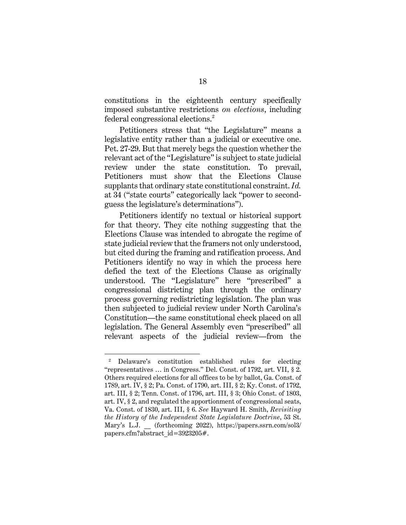constitutions in the eighteenth century specifically imposed substantive restrictions *on elections*, including federal congressional elections.<sup>[2](#page-24-5)</sup>

Petitioners stress that "the Legislature" means a legislative entity rather than a judicial or executive one. Pet. 27-29. But that merely begs the question whether the relevant act of the "Legislature" is subject to state judicial review under the state constitution. To prevail, Petitioners must show that the Elections Clause supplants that ordinary state constitutional constraint. *Id.*  at 34 ("state courts" categorically lack "power to secondguess the legislature's determinations").

Petitioners identify no textual or historical support for that theory. They cite nothing suggesting that the Elections Clause was intended to abrogate the regime of state judicial review that the framers not only understood, but cited during the framing and ratification process. And Petitioners identify no way in which the process here defied the text of the Elections Clause as originally understood. The "Legislature" here "prescribed" a congressional districting plan through the ordinary process governing redistricting legislation. The plan was then subjected to judicial review under North Carolina's Constitution—the same constitutional check placed on all legislation. The General Assembly even "prescribed" all relevant aspects of the judicial review—from the

<span id="page-24-5"></span><span id="page-24-4"></span><span id="page-24-3"></span><span id="page-24-2"></span><span id="page-24-1"></span><span id="page-24-0"></span><sup>2</sup> Delaware's constitution established rules for electing "representatives … in Congress." Del. Const. of 1792, art. VII, § 2. Others required elections for all offices to be by ballot, Ga. Const. of 1789, art. IV, § 2; Pa. Const. of 1790, art. III, § 2; Ky. Const. of 1792, art. III, § 2; Tenn. Const. of 1796, art. III, § 3; Ohio Const. of 1803, art. IV, § 2, and regulated the apportionment of congressional seats, Va. Const. of 1830, art. III, § 6. *See* Hayward H. Smith, *Revisiting the History of the Independent State Legislature Doctrine*, 53 St. Mary's L.J. (forthcoming 2022), https://papers.ssrn.com/sol3/ papers.cfm?abstract\_id=3923205#.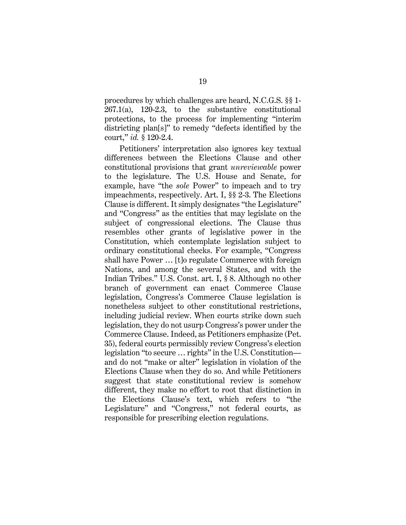<span id="page-25-0"></span>procedures by which challenges are heard, N.C.G.S. §§ 1-  $267.1(a)$ ,  $120-2.3$ , to the substantive constitutional protections, to the process for implementing "interim districting plan[s]" to remedy "defects identified by the court," *id.* § 120-2.4.

<span id="page-25-2"></span><span id="page-25-1"></span>Petitioners' interpretation also ignores key textual differences between the Elections Clause and other constitutional provisions that grant *unreviewable* power to the legislature. The U.S. House and Senate, for example, have "the *sole* Power" to impeach and to try impeachments, respectively. Art. I, §§ 2-3. The Elections Clause is different. It simply designates "the Legislature" and "Congress" as the entities that may legislate on the subject of congressional elections. The Clause thus resembles other grants of legislative power in the Constitution, which contemplate legislation subject to ordinary constitutional checks. For example, "Congress shall have Power … [t]o regulate Commerce with foreign Nations, and among the several States, and with the Indian Tribes." U.S. Const. art. I, § 8. Although no other branch of government can enact Commerce Clause legislation, Congress's Commerce Clause legislation is nonetheless subject to other constitutional restrictions, including judicial review. When courts strike down such legislation, they do not usurp Congress's power under the Commerce Clause. Indeed, as Petitioners emphasize (Pet. 35), federal courts permissibly review Congress's election legislation "to secure … rights" in the U.S. Constitution and do not "make or alter" legislation in violation of the Elections Clause when they do so. And while Petitioners suggest that state constitutional review is somehow different, they make no effort to root that distinction in the Elections Clause's text, which refers to "the Legislature" and "Congress," not federal courts, as responsible for prescribing election regulations.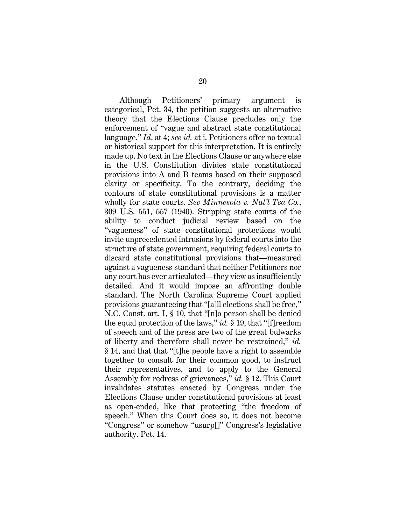<span id="page-26-4"></span><span id="page-26-3"></span><span id="page-26-2"></span><span id="page-26-1"></span><span id="page-26-0"></span>Although Petitioners' primary argument is categorical, Pet. 34, the petition suggests an alternative theory that the Elections Clause precludes only the enforcement of "vague and abstract state constitutional language." *Id*. at 4; *see id.* at i. Petitioners offer no textual or historical support for this interpretation. It is entirely made up. No text in the Elections Clause or anywhere else in the U.S. Constitution divides state constitutional provisions into A and B teams based on their supposed clarity or specificity. To the contrary, deciding the contours of state constitutional provisions is a matter wholly for state courts. *See Minnesota v. Nat'l Tea Co.*, 309 U.S. 551, 557 (1940). Stripping state courts of the ability to conduct judicial review based on the "vagueness" of state constitutional protections would invite unprecedented intrusions by federal courts into the structure of state government, requiring federal courts to discard state constitutional provisions that—measured against a vagueness standard that neither Petitioners nor any court has ever articulated—they view as insufficiently detailed. And it would impose an affronting double standard. The North Carolina Supreme Court applied provisions guaranteeing that "[a]ll elections shall be free," N.C. Const. art. I, § 10, that "[n]o person shall be denied the equal protection of the laws," *id.* § 19, that "[f]reedom of speech and of the press are two of the great bulwarks of liberty and therefore shall never be restrained," *id.* § 14, and that that "[t]he people have a right to assemble together to consult for their common good, to instruct their representatives, and to apply to the General Assembly for redress of grievances," *id.* § 12. This Court invalidates statutes enacted by Congress under the Elections Clause under constitutional provisions at least as open-ended, like that protecting "the freedom of speech." When this Court does so, it does not become "Congress" or somehow "usurp[]" Congress's legislative authority. Pet. 14.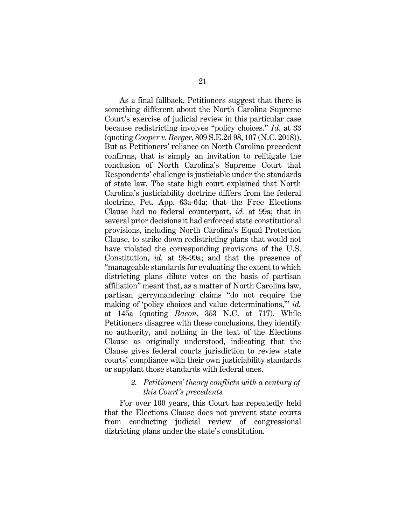As a final fallback, Petitioners suggest that there is something different about the North Carolina Supreme Court's exercise of judicial review in this particular case because redistricting involves "policy choices." *Id.* at 33 (quoting *Cooper v. Berger*, 809 S.E.2d 98, 107 (N.C. 2018)). But as Petitioners' reliance on North Carolina precedent confirms, that is simply an invitation to relitigate the conclusion of North Carolina's Supreme Court that Respondents' challenge is justiciable under the standards of state law. The state high court explained that North Carolina's justiciability doctrine differs from the federal doctrine, Pet. App. 63a-64a; that the Free Elections Clause had no federal counterpart, *id.* at 99a; that in several prior decisions it had enforced state constitutional provisions, including North Carolina's Equal Protection Clause, to strike down redistricting plans that would not have violated the corresponding provisions of the U.S. Constitution, *id.* at 98-99a; and that the presence of "manageable standards for evaluating the extent to which districting plans dilute votes on the basis of partisan affiliation" meant that, as a matter of North Carolina law, partisan gerrymandering claims "do not require the making of 'policy choices and value determinations,'" *id.* at 145a (quoting *Bacon*, 353 N.C. at 717). While Petitioners disagree with these conclusions, they identify no authority, and nothing in the text of the Elections Clause as originally understood, indicating that the Clause gives federal courts jurisdiction to review state courts' compliance with their own justiciability standards or supplant those standards with federal ones.

### *2. Petitioners' theory conflicts with a century of this Court's precedents.*

For over 100 years, this Court has repeatedly held that the Elections Clause does not prevent state courts from conducting judicial review of congressional districting plans under the state's constitution.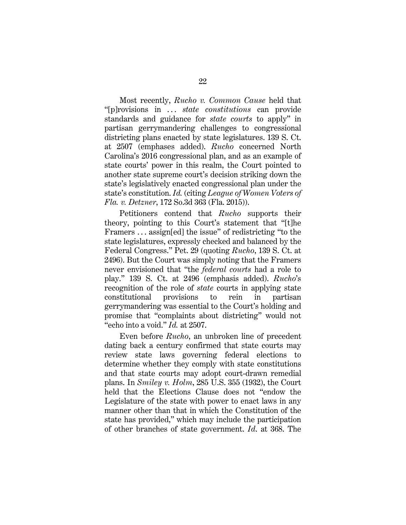<span id="page-28-0"></span>Most recently, *Rucho v. Common Cause* held that "[p]rovisions in . . . *state constitutions* can provide standards and guidance for *state courts* to apply" in partisan gerrymandering challenges to congressional districting plans enacted by state legislatures. 139 S. Ct. at 2507 (emphases added). *Rucho* concerned North Carolina's 2016 congressional plan, and as an example of state courts' power in this realm, the Court pointed to another state supreme court's decision striking down the state's legislatively enacted congressional plan under the state's constitution. *Id.* (citing *League of Women Voters of Fla. v. Detzner*, 172 So.3d 363 (Fla. 2015)).

Petitioners contend that *Rucho* supports their theory, pointing to this Court's statement that "[t]he Framers . . . assign[ed] the issue" of redistricting "to the state legislatures, expressly checked and balanced by the Federal Congress." Pet. 29 (quoting *Rucho*, 139 S. Ct. at 2496). But the Court was simply noting that the Framers never envisioned that "the *federal courts* had a role to play." 139 S. Ct. at 2496 (emphasis added). *Rucho*'s recognition of the role of *state* courts in applying state constitutional provisions to rein in partisan gerrymandering was essential to the Court's holding and promise that "complaints about districting" would not "echo into a void." *Id.* at 2507.

<span id="page-28-2"></span><span id="page-28-1"></span>Even before *Rucho*, an unbroken line of precedent dating back a century confirmed that state courts may review state laws governing federal elections to determine whether they comply with state constitutions and that state courts may adopt court-drawn remedial plans. In *Smiley v. Holm*, 285 U.S. 355 (1932), the Court held that the Elections Clause does not "endow the Legislature of the state with power to enact laws in any manner other than that in which the Constitution of the state has provided," which may include the participation of other branches of state government. *Id*. at 368. The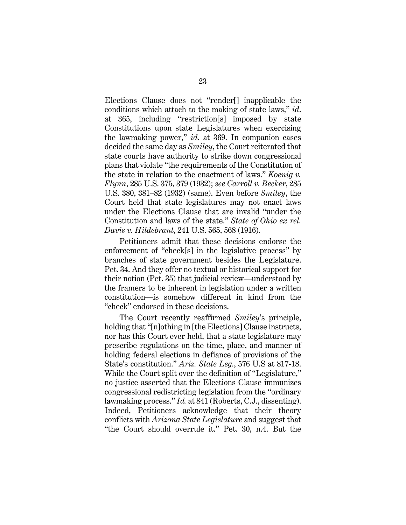Elections Clause does not "render[] inapplicable the conditions which attach to the making of state laws," *id*. at 365, including "restriction[s] imposed by state Constitutions upon state Legislatures when exercising the lawmaking power," *id*. at 369. In companion cases decided the same day as *Smiley*, the Court reiterated that state courts have authority to strike down congressional plans that violate "the requirements of the Constitution of the state in relation to the enactment of laws." *Koenig v. Flynn*, 285 U.S. 375, 379 (1932); *see Carroll v. Becker*, 285 U.S. 380, 381–82 (1932) (same). Even before *Smiley*, the Court held that state legislatures may not enact laws under the Elections Clause that are invalid "under the Constitution and laws of the state." *State of Ohio ex rel. Davis v. Hildebrant*, 241 U.S. 565, 568 (1916).

<span id="page-29-3"></span><span id="page-29-2"></span><span id="page-29-1"></span>Petitioners admit that these decisions endorse the enforcement of "check[s] in the legislative process" by branches of state government besides the Legislature. Pet. 34. And they offer no textual or historical support for their notion (Pet. 35) that judicial review—understood by the framers to be inherent in legislation under a written constitution—is somehow different in kind from the "check" endorsed in these decisions.

<span id="page-29-0"></span>The Court recently reaffirmed *Smiley*'s principle, holding that "[n]othing in [the Elections] Clause instructs, nor has this Court ever held, that a state legislature may prescribe regulations on the time, place, and manner of holding federal elections in defiance of provisions of the State's constitution." *Ariz. State Leg.*, 576 U.S at 817-18. While the Court split over the definition of "Legislature," no justice asserted that the Elections Clause immunizes congressional redistricting legislation from the "ordinary lawmaking process." *Id.* at 841 (Roberts, C.J., dissenting). Indeed, Petitioners acknowledge that their theory conflicts with *Arizona State Legislature* and suggest that "the Court should overrule it." Pet. 30, n.4. But the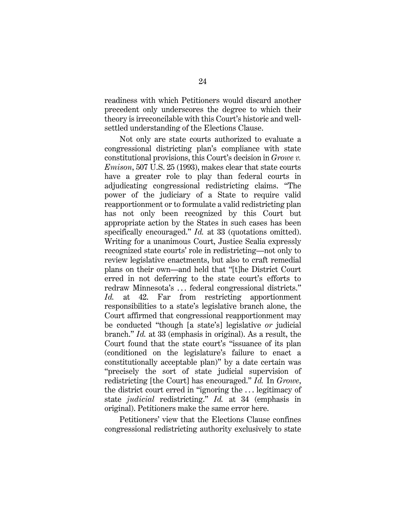readiness with which Petitioners would discard another precedent only underscores the degree to which their theory is irreconcilable with this Court's historic and wellsettled understanding of the Elections Clause.

<span id="page-30-0"></span>Not only are state courts authorized to evaluate a congressional districting plan's compliance with state constitutional provisions, this Court's decision in *Growe v. Emison*, 507 U.S. 25 (1993), makes clear that state courts have a greater role to play than federal courts in adjudicating congressional redistricting claims. "The power of the judiciary of a State to require valid reapportionment or to formulate a valid redistricting plan has not only been recognized by this Court but appropriate action by the States in such cases has been specifically encouraged." *Id.* at 33 (quotations omitted). Writing for a unanimous Court, Justice Scalia expressly recognized state courts' role in redistricting—not only to review legislative enactments, but also to craft remedial plans on their own—and held that "[t]he District Court erred in not deferring to the state court's efforts to redraw Minnesota's . . . federal congressional districts." *Id.* at 42. Far from restricting apportionment responsibilities to a state's legislative branch alone, the Court affirmed that congressional reapportionment may be conducted "though [a state's] legislative *or* judicial branch." *Id.* at 33 (emphasis in original). As a result, the Court found that the state court's "issuance of its plan (conditioned on the legislature's failure to enact a constitutionally acceptable plan)" by a date certain was "precisely the sort of state judicial supervision of redistricting [the Court] has encouraged." *Id.* In *Growe*, the district court erred in "ignoring the . . . legitimacy of state *judicial* redistricting." *Id.* at 34 (emphasis in original). Petitioners make the same error here.

<span id="page-30-1"></span>Petitioners' view that the Elections Clause confines congressional redistricting authority exclusively to state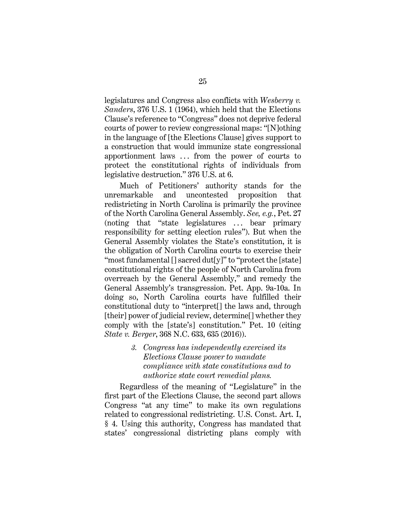<span id="page-31-0"></span>legislatures and Congress also conflicts with *Wesberry v. Sanders*, 376 U.S. 1 (1964), which held that the Elections Clause's reference to "Congress" does not deprive federal courts of power to review congressional maps: "[N]othing in the language of [the Elections Clause] gives support to a construction that would immunize state congressional apportionment laws . . . from the power of courts to protect the constitutional rights of individuals from legislative destruction." 376 U.S. at 6.

Much of Petitioners' authority stands for the unremarkable and uncontested proposition that redistricting in North Carolina is primarily the province of the North Carolina General Assembly. *See, e.g.*, Pet. 27 (noting that "state legislatures ... bear primary responsibility for setting election rules"). But when the General Assembly violates the State's constitution, it is the obligation of North Carolina courts to exercise their "most fundamental [] sacred dut[y]" to "protect the [state] constitutional rights of the people of North Carolina from overreach by the General Assembly," and remedy the General Assembly's transgression. Pet. App. 9a-10a. In doing so, North Carolina courts have fulfilled their constitutional duty to "interpret[] the laws and, through [their] power of judicial review, determine<sup>[]</sup> whether they comply with the [state's] constitution." Pet. 10 (citing *State v. Berger*, 368 N.C. 633, 635 (2016)).

> <span id="page-31-1"></span>*3. Congress has independently exercised its Elections Clause power to mandate compliance with state constitutions and to authorize state court remedial plans.*

Regardless of the meaning of "Legislature" in the first part of the Elections Clause, the second part allows Congress "at any time" to make its own regulations related to congressional redistricting. U.S. Const. Art. I, § 4. Using this authority, Congress has mandated that states' congressional districting plans comply with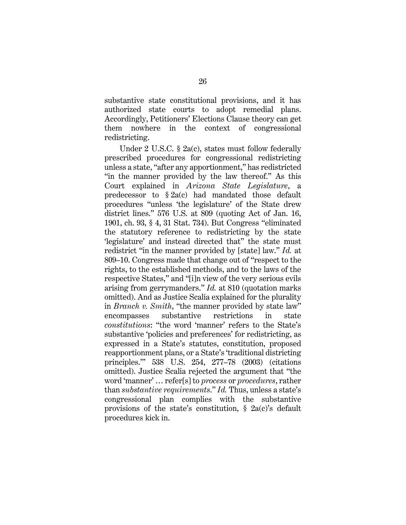substantive state constitutional provisions, and it has authorized state courts to adopt remedial plans. Accordingly, Petitioners' Elections Clause theory can get them nowhere in the context of congressional redistricting.

<span id="page-32-3"></span><span id="page-32-2"></span><span id="page-32-1"></span><span id="page-32-0"></span>Under 2 U.S.C. § 2a(c), states must follow federally prescribed procedures for congressional redistricting unless a state, "after any apportionment," has redistricted "in the manner provided by the law thereof." As this Court explained in *Arizona State Legislature*, a predecessor to § 2a(c) had mandated those default procedures "unless 'the legislature' of the State drew district lines." 576 U.S. at 809 (quoting Act of Jan. 16, 1901, ch. 93, § 4, 31 Stat. 734). But Congress "eliminated the statutory reference to redistricting by the state 'legislature' and instead directed that" the state must redistrict "in the manner provided by [state] law." *Id.* at 809–10. Congress made that change out of "respect to the rights, to the established methods, and to the laws of the respective States," and "[i]n view of the very serious evils arising from gerrymanders." *Id.* at 810 (quotation marks omitted). And as Justice Scalia explained for the plurality in *Branch v. Smith*, "the manner provided by state law" encompasses substantive restrictions in state *constitutions*: "the word 'manner' refers to the State's substantive 'policies and preferences' for redistricting, as expressed in a State's statutes, constitution, proposed reapportionment plans, or a State's 'traditional districting principles.'" 538 U.S. 254, 277–78 (2003) (citations omitted). Justice Scalia rejected the argument that "the word 'manner' … refer[s] to *process* or *procedures*, rather than *substantive requirements*." *Id.* Thus, unless a state's congressional plan complies with the substantive provisions of the state's constitution, § 2a(c)'s default procedures kick in.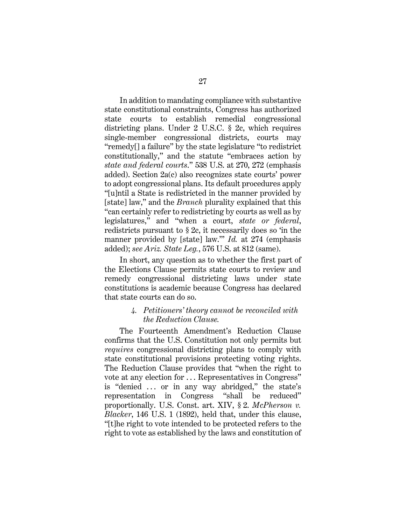<span id="page-33-3"></span><span id="page-33-2"></span>In addition to mandating compliance with substantive state constitutional constraints, Congress has authorized state courts to establish remedial congressional districting plans. Under 2 U.S.C. § 2c, which requires single-member congressional districts, courts may "remedy[] a failure" by the state legislature "to redistrict constitutionally," and the statute "embraces action by *state and federal courts*." 538 U.S. at 270, 272 (emphasis added). Section 2a(c) also recognizes state courts' power to adopt congressional plans. Its default procedures apply "[u]ntil a State is redistricted in the manner provided by [state] law," and the *Branch* plurality explained that this "can certainly refer to redistricting by courts as well as by legislatures," and "when a court, *state or federal*, redistricts pursuant to § 2c, it necessarily does so 'in the manner provided by [state] law.'" *Id.* at 274 (emphasis added); *see Ariz. State Leg.*, 576 U.S. at 812 (same).

In short, any question as to whether the first part of the Elections Clause permits state courts to review and remedy congressional districting laws under state constitutions is academic because Congress has declared that state courts can do so.

## <span id="page-33-1"></span><span id="page-33-0"></span>*4. Petitioners' theory cannot be reconciled with the Reduction Clause.*

<span id="page-33-4"></span>The Fourteenth Amendment's Reduction Clause confirms that the U.S. Constitution not only permits but *requires* congressional districting plans to comply with state constitutional provisions protecting voting rights. The Reduction Clause provides that "when the right to vote at any election for . . . Representatives in Congress" is "denied ... or in any way abridged," the state's representation in Congress "shall be reduced" proportionally. U.S. Const. art. XIV, § 2. *McPherson v. Blacker*, 146 U.S. 1 (1892), held that, under this clause, "[t]he right to vote intended to be protected refers to the right to vote as established by the laws and constitution of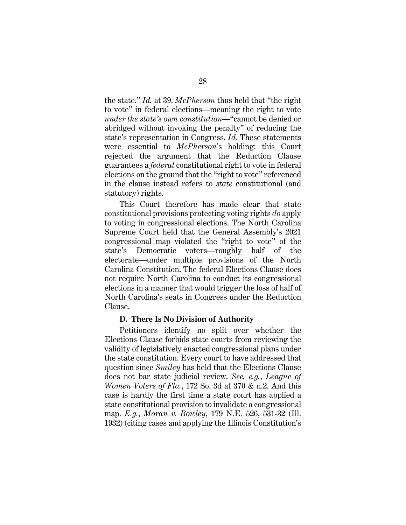the state." *Id.* at 39. *McPherson* thus held that "the right to vote" in federal elections—meaning the right to vote *under the state's own constitution*—"cannot be denied or abridged without invoking the penalty" of reducing the state's representation in Congress. *Id.* These statements were essential to *McPherson*'s holding: this Court rejected the argument that the Reduction Clause guarantees a *federal* constitutional right to vote in federal elections on the ground that the "right to vote" referenced in the clause instead refers to *state* constitutional (and statutory) rights.

This Court therefore has made clear that state constitutional provisions protecting voting rights *do* apply to voting in congressional elections. The North Carolina Supreme Court held that the General Assembly's 2021 congressional map violated the "right to vote" of the state's Democratic voters—roughly half of the electorate—under multiple provisions of the North Carolina Constitution. The federal Elections Clause does not require North Carolina to conduct its congressional elections in a manner that would trigger the loss of half of North Carolina's seats in Congress under the Reduction Clause.

#### <span id="page-34-0"></span>**D. There Is No Division of Authority**

<span id="page-34-1"></span>Petitioners identify no split over whether the Elections Clause forbids state courts from reviewing the validity of legislatively enacted congressional plans under the state constitution. Every court to have addressed that question since *Smiley* has held that the Elections Clause does not bar state judicial review. *See, e.g.*, *League of Women Voters of Fla.*, 172 So. 3d at 370 & n.2. And this case is hardly the first time a state court has applied a state constitutional provision to invalidate a congressional map. *E.g.*, *Moran v. Bowley*, 179 N.E. 526, 531-32 (Ill. 1932) (citing cases and applying the Illinois Constitution's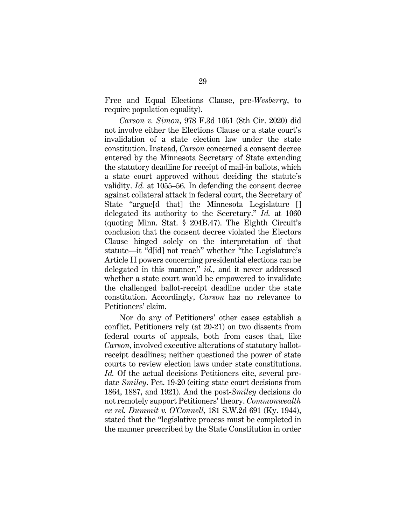Free and Equal Elections Clause, pre-*Wesberry*, to require population equality).

<span id="page-35-0"></span>*Carson v. Simon*, 978 F.3d 1051 (8th Cir. 2020) did not involve either the Elections Clause or a state court's invalidation of a state election law under the state constitution. Instead, *Carson* concerned a consent decree entered by the Minnesota Secretary of State extending the statutory deadline for receipt of mail-in ballots, which a state court approved without deciding the statute's validity. *Id.* at 1055–56. In defending the consent decree against collateral attack in federal court, the Secretary of State "argue<sup>[d that]</sup> the Minnesota Legislature <sup>[]</sup> delegated its authority to the Secretary." *Id.* at 1060 (quoting Minn. Stat. § 204B.47). The Eighth Circuit's conclusion that the consent decree violated the Electors Clause hinged solely on the interpretation of that statute—it "d[id] not reach" whether "the Legislature's Article II powers concerning presidential elections can be delegated in this manner," *id.*, and it never addressed whether a state court would be empowered to invalidate the challenged ballot-receipt deadline under the state constitution. Accordingly, *Carson* has no relevance to Petitioners' claim.

<span id="page-35-2"></span><span id="page-35-1"></span>Nor do any of Petitioners' other cases establish a conflict. Petitioners rely (at 20-21) on two dissents from federal courts of appeals, both from cases that, like *Carson*, involved executive alterations of statutory ballotreceipt deadlines; neither questioned the power of state courts to review election laws under state constitutions. *Id.* Of the actual decisions Petitioners cite, several predate *Smiley*. Pet. 19-20 (citing state court decisions from 1864, 1887, and 1921). And the post-*Smiley* decisions do not remotely support Petitioners' theory. *Commonwealth ex rel. Dummit v. O'Connell*, 181 S.W.2d 691 (Ky. 1944), stated that the "legislative process must be completed in the manner prescribed by the State Constitution in order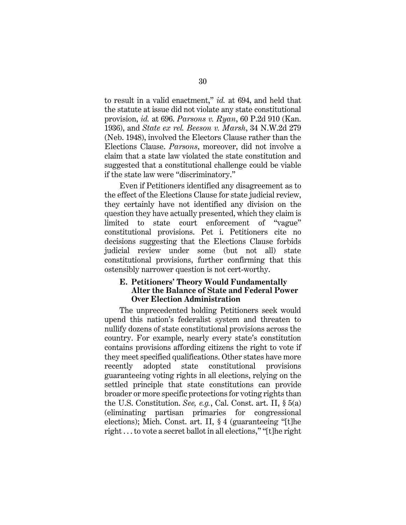<span id="page-36-1"></span><span id="page-36-0"></span>to result in a valid enactment," *id.* at 694, and held that the statute at issue did not violate any state constitutional provision, *id.* at 696. *Parsons v. Ryan*, 60 P.2d 910 (Kan. 1936), and *State ex rel. Beeson v. Marsh*, 34 N.W.2d 279 (Neb. 1948), involved the Electors Clause rather than the Elections Clause. *Parsons*, moreover, did not involve a claim that a state law violated the state constitution and suggested that a constitutional challenge could be viable if the state law were "discriminatory."

Even if Petitioners identified any disagreement as to the effect of the Elections Clause for state judicial review, they certainly have not identified any division on the question they have actually presented, which they claim is limited to state court enforcement of "vague" constitutional provisions. Pet i. Petitioners cite no decisions suggesting that the Elections Clause forbids judicial review under some (but not all) state constitutional provisions, further confirming that this ostensibly narrower question is not cert-worthy.

## **E. Petitioners' Theory Would Fundamentally Alter the Balance of State and Federal Power Over Election Administration**

<span id="page-36-3"></span><span id="page-36-2"></span>The unprecedented holding Petitioners seek would upend this nation's federalist system and threaten to nullify dozens of state constitutional provisions across the country. For example, nearly every state's constitution contains provisions affording citizens the right to vote if they meet specified qualifications. Other states have more recently adopted state constitutional provisions guaranteeing voting rights in all elections, relying on the settled principle that state constitutions can provide broader or more specific protections for voting rights than the U.S. Constitution. *See, e.g.*, Cal. Const. art. II, § 5(a) (eliminating partisan primaries for congressional elections); Mich. Const. art. II, § 4 (guaranteeing "[t]he right . . . to vote a secret ballot in all elections," "[t]he right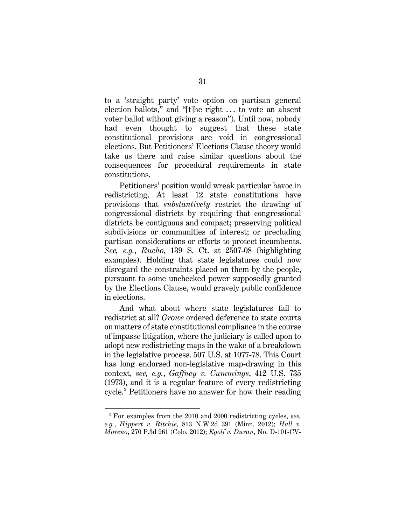to a 'straight party' vote option on partisan general election ballots," and "[t]he right . . . to vote an absent voter ballot without giving a reason"). Until now, nobody had even thought to suggest that these state constitutional provisions are void in congressional elections. But Petitioners' Elections Clause theory would take us there and raise similar questions about the consequences for procedural requirements in state constitutions.

Petitioners' position would wreak particular havoc in redistricting. At least 12 state constitutions have provisions that *substantively* restrict the drawing of congressional districts by requiring that congressional districts be contiguous and compact; preserving political subdivisions or communities of interest; or precluding partisan considerations or efforts to protect incumbents. *See, e.g.*, *Rucho*, 139 S. Ct. at 2507-08 (highlighting examples). Holding that state legislatures could now disregard the constraints placed on them by the people, pursuant to some unchecked power supposedly granted by the Elections Clause, would gravely public confidence in elections.

<span id="page-37-3"></span><span id="page-37-0"></span>And what about where state legislatures fail to redistrict at all? *Growe* ordered deference to state courts on matters of state constitutional compliance in the course of impasse litigation, where the judiciary is called upon to adopt new redistricting maps in the wake of a breakdown in the legislative process. 507 U.S. at 1077-78. This Court has long endorsed non-legislative map-drawing in this context*, see, e.g.*, *Gaffney v. Cummings*, 412 U.S. 735 (1973), and it is a regular feature of every redistricting cycle.[3](#page-37-6) Petitioners have no answer for how their reading

<span id="page-37-6"></span><span id="page-37-5"></span><span id="page-37-4"></span><span id="page-37-2"></span><span id="page-37-1"></span><sup>3</sup> For examples from the 2010 and 2000 redistricting cycles, *see, e.g.*, *Hippert v. Ritchie*, 813 N.W.2d 391 (Minn. 2012); *Hall v. Moreno*, 270 P.3d 961 (Colo. 2012); *Egolf v. Duran*, No. D-101-CV-